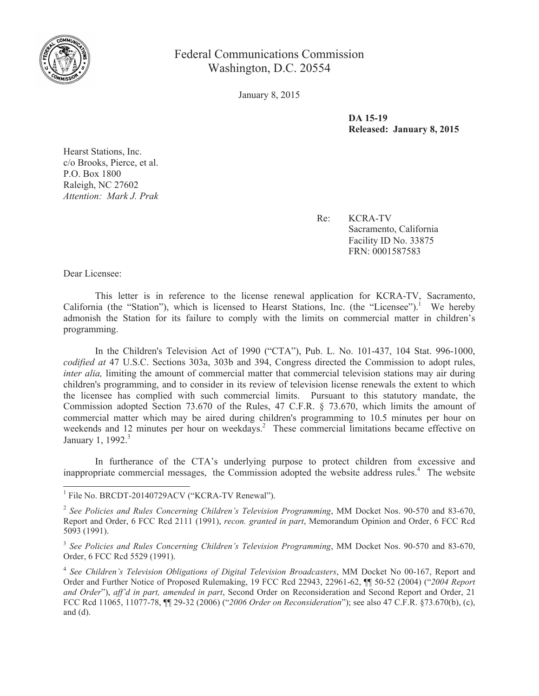

Federal Communications Commission Washington, D.C. 20554

January 8, 2015

**DA 15-19 Released: January 8, 2015**

Hearst Stations, Inc. c/o Brooks, Pierce, et al. P.O. Box 1800 Raleigh, NC 27602 *Attention: Mark J. Prak*

> Re: KCRA-TV Sacramento, California Facility ID No. 33875 FRN: 0001587583

Dear Licensee:

This letter is in reference to the license renewal application for KCRA-TV, Sacramento, California (the "Station"), which is licensed to Hearst Stations, Inc. (the "Licensee").<sup>1</sup> We hereby admonish the Station for its failure to comply with the limits on commercial matter in children's programming.

In the Children's Television Act of 1990 ("CTA"), Pub. L. No. 101-437, 104 Stat. 996-1000, *codified at* 47 U.S.C. Sections 303a, 303b and 394, Congress directed the Commission to adopt rules, *inter alia,* limiting the amount of commercial matter that commercial television stations may air during children's programming, and to consider in its review of television license renewals the extent to which the licensee has complied with such commercial limits. Pursuant to this statutory mandate, the Commission adopted Section 73.670 of the Rules, 47 C.F.R. § 73.670, which limits the amount of commercial matter which may be aired during children's programming to 10.5 minutes per hour on weekends and 12 minutes per hour on weekdays.<sup>2</sup> These commercial limitations became effective on January 1, 1992.<sup>3</sup>

In furtherance of the CTA's underlying purpose to protect children from excessive and inappropriate commercial messages, the Commission adopted the website address rules.<sup>4</sup> The website

<sup>&</sup>lt;sup>1</sup> File No. BRCDT-20140729ACV ("KCRA-TV Renewal").

<sup>2</sup> *See Policies and Rules Concerning Children's Television Programming*, MM Docket Nos. 90-570 and 83-670, Report and Order, 6 FCC Rcd 2111 (1991), *recon. granted in part*, Memorandum Opinion and Order, 6 FCC Rcd 5093 (1991).

<sup>3</sup> *See Policies and Rules Concerning Children's Television Programming*, MM Docket Nos. 90-570 and 83-670, Order, 6 FCC Rcd 5529 (1991).

<sup>4</sup> *See Children's Television Obligations of Digital Television Broadcasters*, MM Docket No 00-167, Report and Order and Further Notice of Proposed Rulemaking, 19 FCC Rcd 22943, 22961-62, ¶¶ 50-52 (2004) ("*2004 Report and Order*"), *aff'd in part, amended in part*, Second Order on Reconsideration and Second Report and Order, 21 FCC Rcd 11065, 11077-78, ¶¶ 29-32 (2006) ("*2006 Order on Reconsideration*"); see also 47 C.F.R. §73.670(b), (c), and (d).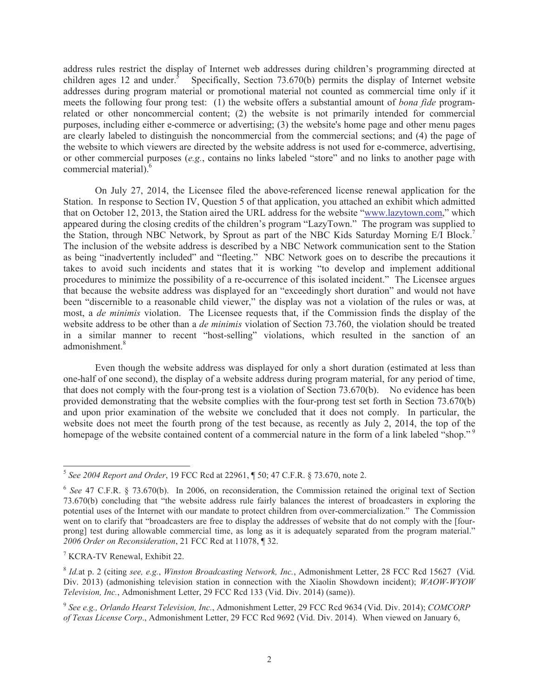address rules restrict the display of Internet web addresses during children's programming directed at children ages 12 and under. $5$ Specifically, Section 73.670(b) permits the display of Internet website addresses during program material or promotional material not counted as commercial time only if it meets the following four prong test: (1) the website offers a substantial amount of *bona fide* programrelated or other noncommercial content; (2) the website is not primarily intended for commercial purposes, including either e-commerce or advertising; (3) the website's home page and other menu pages are clearly labeled to distinguish the noncommercial from the commercial sections; and (4) the page of the website to which viewers are directed by the website address is not used for e-commerce, advertising, or other commercial purposes (*e.g.*, contains no links labeled "store" and no links to another page with commercial material).<sup>6</sup>

On July 27, 2014, the Licensee filed the above-referenced license renewal application for the Station. In response to Section IV, Question 5 of that application, you attached an exhibit which admitted that on October 12, 2013, the Station aired the URL address for the website "www.lazytown.com," which appeared during the closing credits of the children's program "LazyTown." The program was supplied to the Station, through NBC Network, by Sprout as part of the NBC Kids Saturday Morning E/I Block.<sup>7</sup> The inclusion of the website address is described by a NBC Network communication sent to the Station as being "inadvertently included" and "fleeting." NBC Network goes on to describe the precautions it takes to avoid such incidents and states that it is working "to develop and implement additional procedures to minimize the possibility of a re-occurrence of this isolated incident." The Licensee argues that because the website address was displayed for an "exceedingly short duration" and would not have been "discernible to a reasonable child viewer," the display was not a violation of the rules or was, at most, a *de minimis* violation. The Licensee requests that, if the Commission finds the display of the website address to be other than a *de minimis* violation of Section 73.760, the violation should be treated in a similar manner to recent "host-selling" violations, which resulted in the sanction of an admonishment<sup>8</sup>

Even though the website address was displayed for only a short duration (estimated at less than one-half of one second), the display of a website address during program material, for any period of time, that does not comply with the four-prong test is a violation of Section 73.670(b). No evidence has been provided demonstrating that the website complies with the four-prong test set forth in Section 73.670(b) and upon prior examination of the website we concluded that it does not comply. In particular, the website does not meet the fourth prong of the test because, as recently as July 2, 2014, the top of the homepage of the website contained content of a commercial nature in the form of a link labeled "shop."<sup>9</sup>

<sup>5</sup> *See 2004 Report and Order*, 19 FCC Rcd at 22961, ¶ 50; 47 C.F.R. § 73.670, note 2.

<sup>&</sup>lt;sup>6</sup> See 47 C.F.R. § 73.670(b). In 2006, on reconsideration, the Commission retained the original text of Section 73.670(b) concluding that "the website address rule fairly balances the interest of broadcasters in exploring the potential uses of the Internet with our mandate to protect children from over-commercialization." The Commission went on to clarify that "broadcasters are free to display the addresses of website that do not comply with the [fourprong] test during allowable commercial time, as long as it is adequately separated from the program material." *2006 Order on Reconsideration*, 21 FCC Rcd at 11078, ¶ 32.

<sup>7</sup> KCRA-TV Renewal, Exhibit 22.

<sup>8</sup> *Id.*at p. 2 (citing *see, e.g.*, *Winston Broadcasting Network, Inc.*, Admonishment Letter, 28 FCC Rcd 15627 (Vid. Div. 2013) (admonishing television station in connection with the Xiaolin Showdown incident); *WAOW-WYOW Television, Inc.*, Admonishment Letter, 29 FCC Rcd 133 (Vid. Div. 2014) (same)).

<sup>9</sup> *See e.g., Orlando Hearst Television, Inc.*, Admonishment Letter, 29 FCC Rcd 9634 (Vid. Div. 2014); *COMCORP of Texas License Corp*., Admonishment Letter, 29 FCC Rcd 9692 (Vid. Div. 2014). When viewed on January 6,